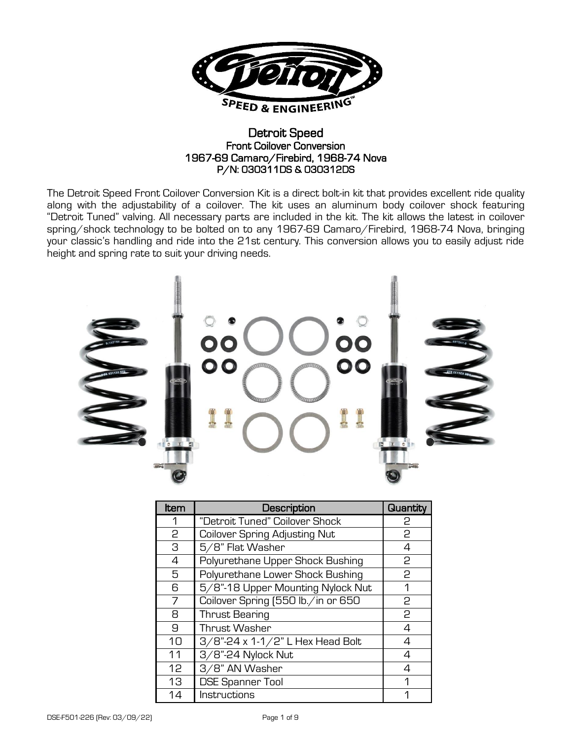

### Detroit Speed Front Coilover Conversion 1967-69 Camaro/Firebird, 1968-74 Nova P/N: 030311DS & 030312DS

The Detroit Speed Front Coilover Conversion Kit is a direct bolt-in kit that provides excellent ride quality along with the adjustability of a coilover. The kit uses an aluminum body coilover shock featuring "Detroit Tuned" valving. All necessary parts are included in the kit. The kit allows the latest in coilover spring/shock technology to be bolted on to any 1967-69 Camaro/Firebird, 1968-74 Nova, bringing your classic's handling and ride into the 21st century. This conversion allows you to easily adjust ride height and spring rate to suit your driving needs.



| <b>Item</b>    | Description                          | Quantity       |
|----------------|--------------------------------------|----------------|
|                | "Detroit Tuned" Coilover Shock       | 2              |
| 2              | <b>Coilover Spring Adjusting Nut</b> | 2              |
| 3              | 5/8" Flat Washer                     | 4              |
| $\overline{4}$ | Polyurethane Upper Shock Bushing     | 2              |
| 5              | Polyurethane Lower Shock Bushing     | 2              |
| 6              | 5/8"-18 Upper Mounting Nylock Nut    | 1              |
| 7              | Coilover Spring (550 lb./in or 650   | 2              |
| 8              | <b>Thrust Bearing</b>                | 2              |
| 9              | Thrust Washer                        | 4              |
| 10             | 3/8"-24 x 1-1/2" L Hex Head Bolt     | $\overline{4}$ |
| 11             | 3/8"-24 Nylock Nut                   | 4              |
| 12             | 3/8" AN Washer                       | Δ              |
| 13             | <b>DSE Spanner Tool</b>              | 1              |
| 14             | Instructions                         |                |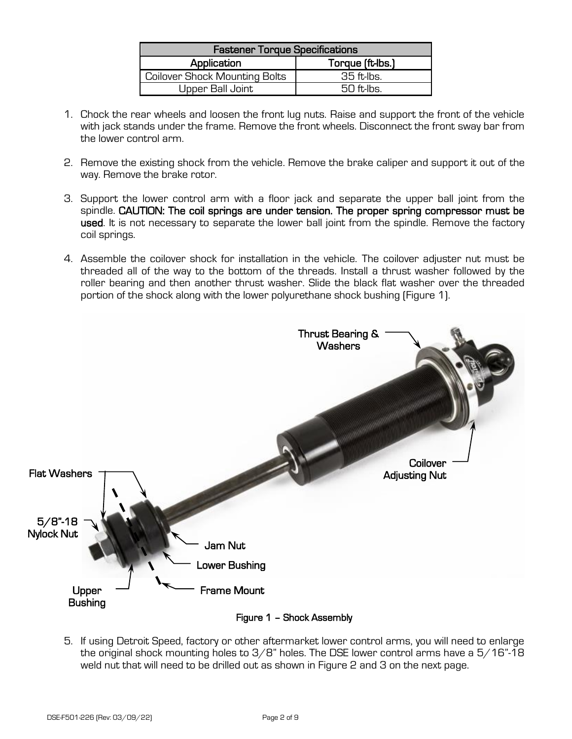| <b>Fastener Torque Specifications</b> |                  |  |  |
|---------------------------------------|------------------|--|--|
| Application                           | Torque (ft-lbs.) |  |  |
| Coilover Shock Mounting Bolts         | 35 ft lbs.       |  |  |
| Upper Ball Joint                      | $50$ ft. lbs     |  |  |

- 1. Chock the rear wheels and loosen the front lug nuts. Raise and support the front of the vehicle with jack stands under the frame. Remove the front wheels. Disconnect the front sway bar from the lower control arm.
- 2. Remove the existing shock from the vehicle. Remove the brake caliper and support it out of the way. Remove the brake rotor.
- 3. Support the lower control arm with a floor jack and separate the upper ball joint from the spindle. CAUTION: The coil springs are under tension. The proper spring compressor must be used. It is not necessary to separate the lower ball joint from the spindle. Remove the factory coil springs.
- 4. Assemble the coilover shock for installation in the vehicle. The coilover adjuster nut must be threaded all of the way to the bottom of the threads. Install a thrust washer followed by the roller bearing and then another thrust washer. Slide the black flat washer over the threaded portion of the shock along with the lower polyurethane shock bushing (Figure 1).



5. If using Detroit Speed, factory or other aftermarket lower control arms, you will need to enlarge the original shock mounting holes to 3/8" holes. The DSE lower control arms have a 5/16"-18 weld nut that will need to be drilled out as shown in Figure 2 and 3 on the next page.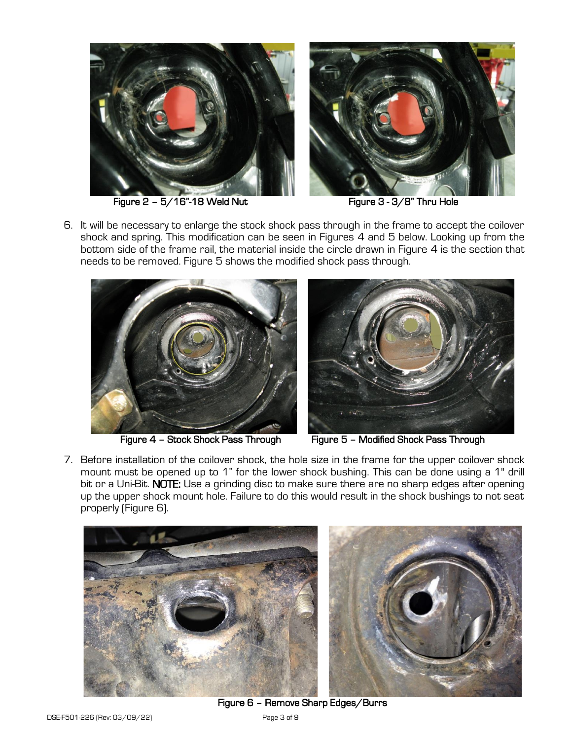

Figure 2 - 5/16"-18 Weld Nut Figure 3 - 3/8" Thru Hole

6. It will be necessary to enlarge the stock shock pass through in the frame to accept the coilover shock and spring. This modification can be seen in Figures 4 and 5 below. Looking up from the bottom side of the frame rail, the material inside the circle drawn in Figure 4 is the section that needs to be removed. Figure 5 shows the modified shock pass through.





Figure 4 - Stock Shock Pass Through Figure 5 - Modified Shock Pass Through

7. Before installation of the coilover shock, the hole size in the frame for the upper coilover shock mount must be opened up to 1" for the lower shock bushing. This can be done using a 1" drill bit or a Uni-Bit. NOTE: Use a grinding disc to make sure there are no sharp edges after opening up the upper shock mount hole. Failure to do this would result in the shock bushings to not seat properly (Figure 6).



Figure 6 – Remove Sharp Edges/Burrs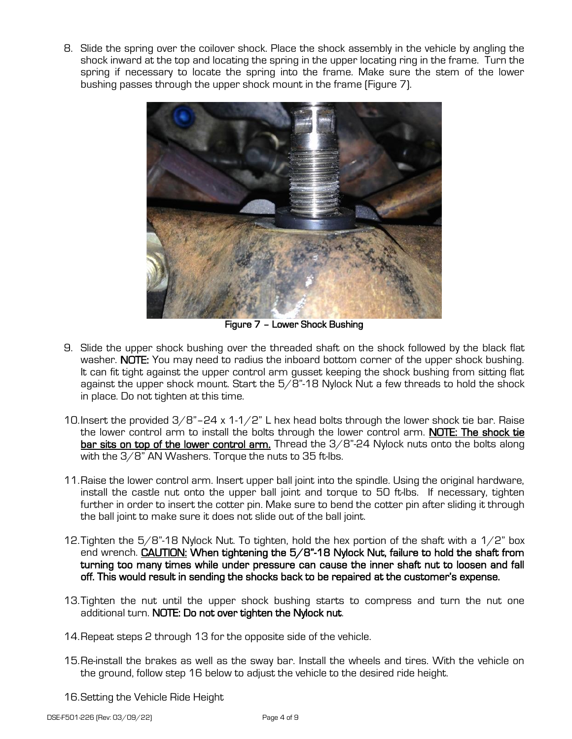8. Slide the spring over the coilover shock. Place the shock assembly in the vehicle by angling the shock inward at the top and locating the spring in the upper locating ring in the frame. Turn the spring if necessary to locate the spring into the frame. Make sure the stem of the lower bushing passes through the upper shock mount in the frame (Figure 7).



Figure 7 – Lower Shock Bushing

- 9. Slide the upper shock bushing over the threaded shaft on the shock followed by the black flat washer. NOTE: You may need to radius the inboard bottom corner of the upper shock bushing. It can fit tight against the upper control arm gusset keeping the shock bushing from sitting flat against the upper shock mount. Start the  $5/8$ "-18 Nylock Nut a few threads to hold the shock in place. Do not tighten at this time.
- 10. Insert the provided  $3/8$ "-24 x 1-1/2" L hex head bolts through the lower shock tie bar. Raise the lower control arm to install the bolts through the lower control arm. NOTE: The shock tie bar sits on top of the lower control arm. Thread the 3/8"-24 Nylock nuts onto the bolts along with the 3/8" AN Washers. Torque the nuts to 35 ft-lbs.
- 11.Raise the lower control arm. Insert upper ball joint into the spindle. Using the original hardware, install the castle nut onto the upper ball joint and torque to 50 ft-lbs. If necessary, tighten further in order to insert the cotter pin. Make sure to bend the cotter pin after sliding it through the ball joint to make sure it does not slide out of the ball joint.
- 12. Tighten the  $5/8$ "-18 Nylock Nut. To tighten, hold the hex portion of the shaft with a  $1/2$ " box end wrench. CAUTION: When tightening the 5/8"-18 Nylock Nut, failure to hold the shaft from turning too many times while under pressure can cause the inner shaft nut to loosen and fall off. This would result in sending the shocks back to be repaired at the customer's expense.
- 13.Tighten the nut until the upper shock bushing starts to compress and turn the nut one additional turn. NOTE: Do not over tighten the Nylock nut.
- 14.Repeat steps 2 through 13 for the opposite side of the vehicle.
- 15.Re-install the brakes as well as the sway bar. Install the wheels and tires. With the vehicle on the ground, follow step 16 below to adjust the vehicle to the desired ride height.
- 16.Setting the Vehicle Ride Height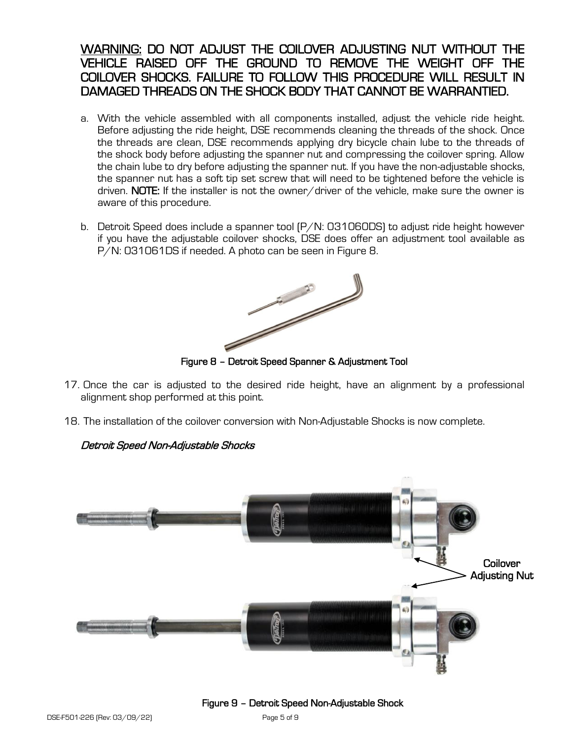# WARNING: DO NOT ADJUST THE COILOVER ADJUSTING NUT WITHOUT THE VEHICLE RAISED OFF THE GROUND TO REMOVE THE WEIGHT OFF THE COILOVER SHOCKS. FAILURE TO FOLLOW THIS PROCEDURE WILL RESULT IN DAMAGED THREADS ON THE SHOCK BODY THAT CANNOT BE WARRANTIED.

- a. With the vehicle assembled with all components installed, adjust the vehicle ride height. Before adjusting the ride height, DSE recommends cleaning the threads of the shock. Once the threads are clean, DSE recommends applying dry bicycle chain lube to the threads of the shock body before adjusting the spanner nut and compressing the coilover spring. Allow the chain lube to dry before adjusting the spanner nut. If you have the non-adjustable shocks, the spanner nut has a soft tip set screw that will need to be tightened before the vehicle is driven. NOTE: If the installer is not the owner/driver of the vehicle, make sure the owner is aware of this procedure.
- b. Detroit Speed does include a spanner tool (P/N: 031060DS) to adjust ride height however if you have the adjustable coilover shocks, DSE does offer an adjustment tool available as P/N: 031061DS if needed. A photo can be seen in Figure 8.



Figure 8 – Detroit Speed Spanner & Adjustment Tool

- 17. Once the car is adjusted to the desired ride height, have an alignment by a professional alignment shop performed at this point.
- 18. The installation of the coilover conversion with Non-Adjustable Shocks is now complete.

### Detroit Speed Non-Adjustable Shocks



#### Figure 9 – Detroit Speed Non-Adjustable Shock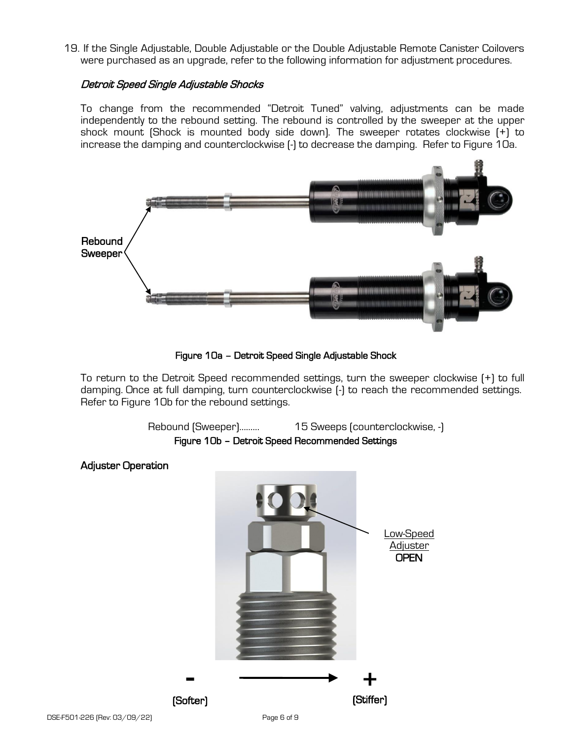19. If the Single Adjustable, Double Adjustable or the Double Adjustable Remote Canister Coilovers were purchased as an upgrade, refer to the following information for adjustment procedures.

#### Detroit Speed Single Adjustable Shocks

To change from the recommended "Detroit Tuned" valving, adjustments can be made independently to the rebound setting. The rebound is controlled by the sweeper at the upper shock mount (Shock is mounted body side down). The sweeper rotates clockwise (+) to increase the damping and counterclockwise (-) to decrease the damping. Refer to Figure 10a.



Figure 10a – Detroit Speed Single Adjustable Shock

To return to the Detroit Speed recommended settings, turn the sweeper clockwise (+) to full damping. Once at full damping, turn counterclockwise (-) to reach the recommended settings. Refer to Figure 10b for the rebound settings.



 Adjuster Operation Low-Speed Adjuster OPEN + (Stiffer) - (Softer)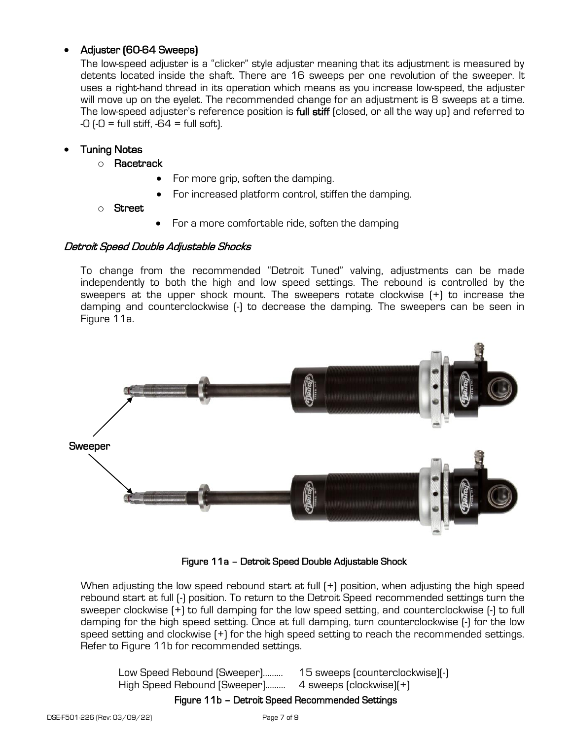### • Adjuster (60-64 Sweeps)

The low-speed adjuster is a "clicker" style adjuster meaning that its adjustment is measured by detents located inside the shaft. There are 16 sweeps per one revolution of the sweeper. It uses a right-hand thread in its operation which means as you increase low-speed, the adjuster will move up on the eyelet. The recommended change for an adjustment is 8 sweeps at a time. The low-speed adjuster's reference position is full stiff (closed, or all the way up) and referred to  $-0$  ( $-0$  = full stiff,  $-64$  = full soft).

### • Tuning Notes

- o Racetrack
	- For more grip, soften the damping.
	- For increased platform control, stiffen the damping.
- o Street
- For a more comfortable ride, soften the damping

#### Detroit Speed Double Adjustable Shocks

To change from the recommended "Detroit Tuned" valving, adjustments can be made independently to both the high and low speed settings. The rebound is controlled by the sweepers at the upper shock mount. The sweepers rotate clockwise (+) to increase the damping and counterclockwise (-) to decrease the damping. The sweepers can be seen in Figure 11a.



Figure 11a – Detroit Speed Double Adjustable Shock

When adjusting the low speed rebound start at full  $[+]$  position, when adjusting the high speed rebound start at full (-) position. To return to the Detroit Speed recommended settings turn the sweeper clockwise (+) to full damping for the low speed setting, and counterclockwise (-) to full damping for the high speed setting. Once at full damping, turn counterclockwise (-) for the low speed setting and clockwise (+) for the high speed setting to reach the recommended settings. Refer to Figure 11b for recommended settings.

Low Speed Rebound (Sweeper)……… High Speed Rebound [Sweeper]……… 15 sweeps (counterclockwise)(-) 4 sweeps (clockwise)(+)

#### Figure 11b – Detroit Speed Recommended Settings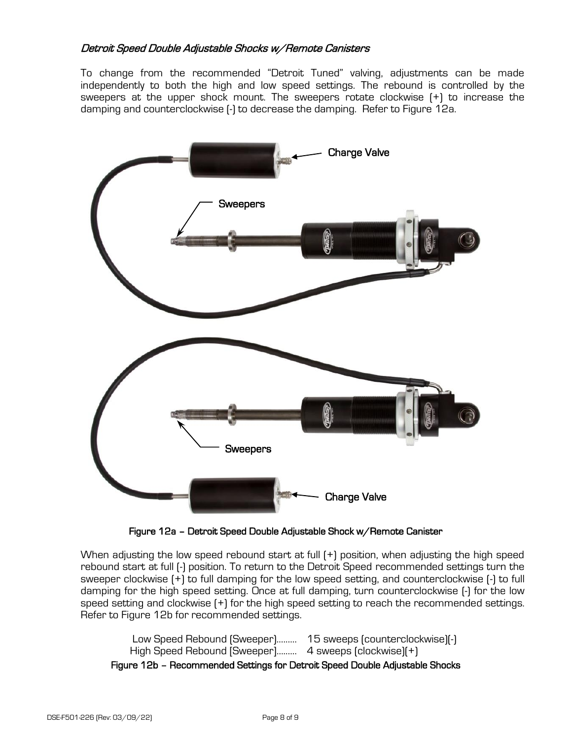#### Detroit Speed Double Adjustable Shocks w/Remote Canisters

To change from the recommended "Detroit Tuned" valving, adjustments can be made independently to both the high and low speed settings. The rebound is controlled by the sweepers at the upper shock mount. The sweepers rotate clockwise (+) to increase the damping and counterclockwise (-) to decrease the damping. Refer to Figure 12a.



Figure 12a – Detroit Speed Double Adjustable Shock w/Remote Canister

When adjusting the low speed rebound start at full (+) position, when adjusting the high speed rebound start at full (-) position. To return to the Detroit Speed recommended settings turn the sweeper clockwise (+) to full damping for the low speed setting, and counterclockwise (-) to full damping for the high speed setting. Once at full damping, turn counterclockwise (-) for the low speed setting and clockwise (+) for the high speed setting to reach the recommended settings. Refer to Figure 12b for recommended settings.

Low Speed Rebound (Sweeper)……… 15 sweeps (counterclockwise)(-) High Speed Rebound [Sweeper]……… 4 sweeps (clockwise)(+) Figure 12b – Recommended Settings for Detroit Speed Double Adjustable Shocks